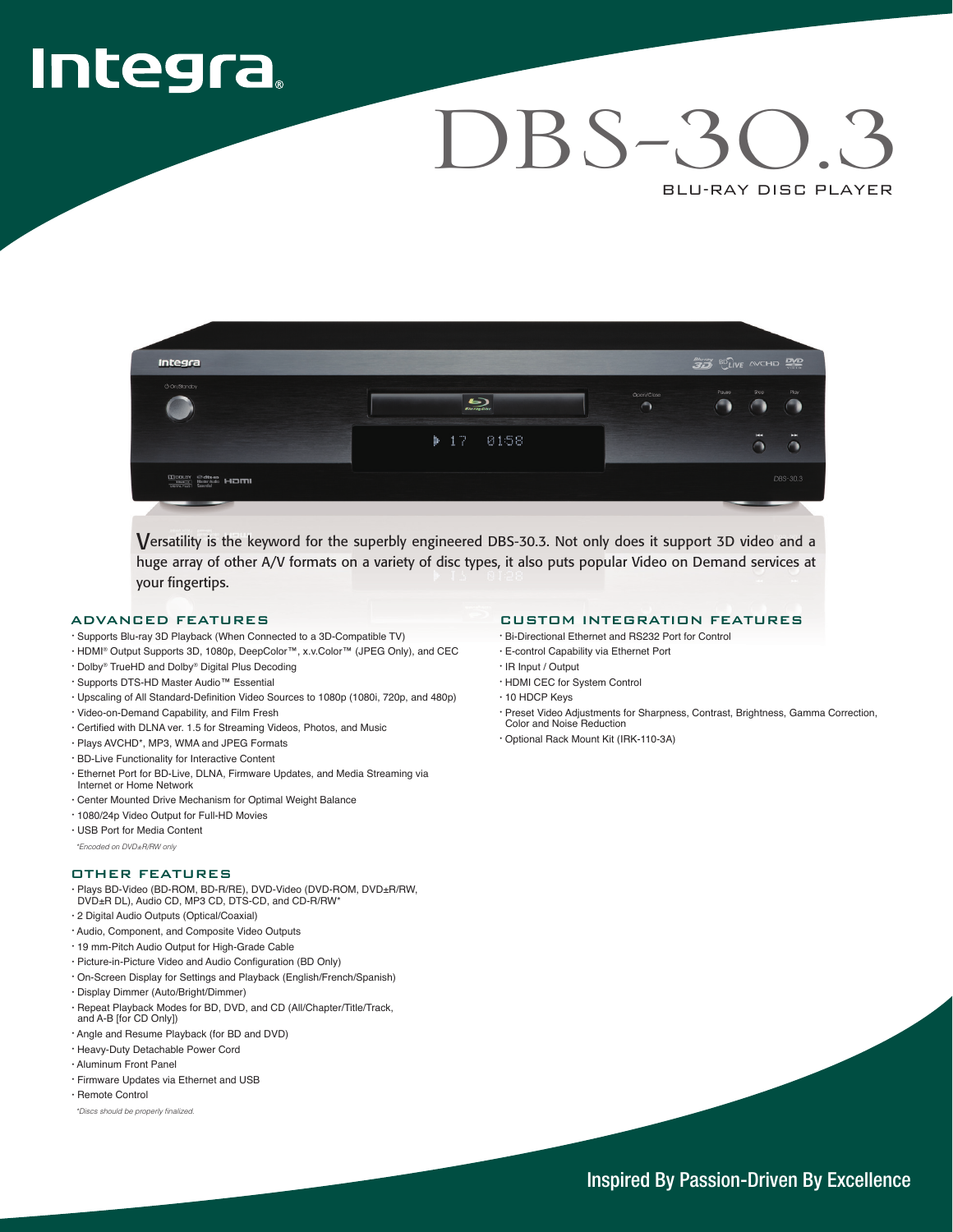# Integra,

## DBS-3 BLU-RAY DISC PLAYER



Versatility is the keyword for the superbly engineered DBS-30.3. Not only does it support 3D video and a huge array of other A/V formats on a variety of disc types, it also puts popular Video on Demand services at your fingertips.

#### ADVANCED FEATURES

- · Supports Blu-ray 3D Playback (When Connected to a 3D-Compatible TV)
- · HDMI® Output Supports 3D, 1080p, DeepColor™, x.v.Color™ (JPEG Only), and CEC
- · Dolby<sup>®</sup> TrueHD and Dolby<sup>®</sup> Digital Plus Decoding
- · Supports DTS-HD Master Audio<sup>™</sup> Essential
- · Upscaling of All Standard-Definition Video Sources to 1080p (1080i, 720p, and 480p)
- · Video-on-Demand Capability, and Film Fresh
- Ourtified with DLNA ver. 1.5 for Streaming Videos, Photos, and Music
- · Plays AVCHD\*, MP3, WMA and JPEG Formats
- · BD-Live Functionality for Interactive Content
- · Ethernet Port for BD-Live, DLNA, Firmware Updates, and Media Streaming via Internet or Home Network
- · Center Mounted Drive Mechanism for Optimal Weight Balance
- · 1080/24p Video Output for Full-HD Movies
- · USB Port for Media Content

*only RW/R±DVD on Encoded \**

#### **OTHER FEATURES**

· Plays BD-Video (BD-ROM, BD-R/RE), DVD-Video (DVD-ROM, DVD±R/RW,<br>DVD±R DL), Audio CD, MP3 CD, DTS-CD, and CD-R/RW\*

- 
- · 2 Digital Audio Outputs (Optical/Coaxial)
- · Audio, Component, and Composite Video Outputs
- · 19 mm-Pitch Audio Output for High-Grade Cable
- · Picture-in-Picture Video and Audio Configuration (BD Only)
- · On-Screen Display for Settings and Playback (English/French/Spanish)
- · Display Dimmer (Auto/Bright/Dimmer)
- · Repeat Playback Modes for BD, DVD, and CD (All/Chapter/Title/Track, and A-B [for CD Only])
- · Angle and Resume Playback (for BD and DVD)
- · Heavy-Duty Detachable Power Cord
- Aluminum Front Panel
- · Firmware Updates via Ethernet and USB
- $\cdot$  Remote Control

\*Discs should be properly finalized

#### **CUSTOM INTEGRATION FEATURES**

- · Bi-Directional Ethernet and RS232 Port for Control
- · E-control Capability via Ethernet Port
- · IR Input / Output
- HDMI CEC for System Control
- $\cdot$  10 HDCP Keys
- · Preset Video Adjustments for Sharpness, Contrast, Brightness, Gamma Correction, **Color and Noise Reduction**
- · Optional Rack Mount Kit (IRK-110-3A)

Inspired By Passion-Driven By Excellence